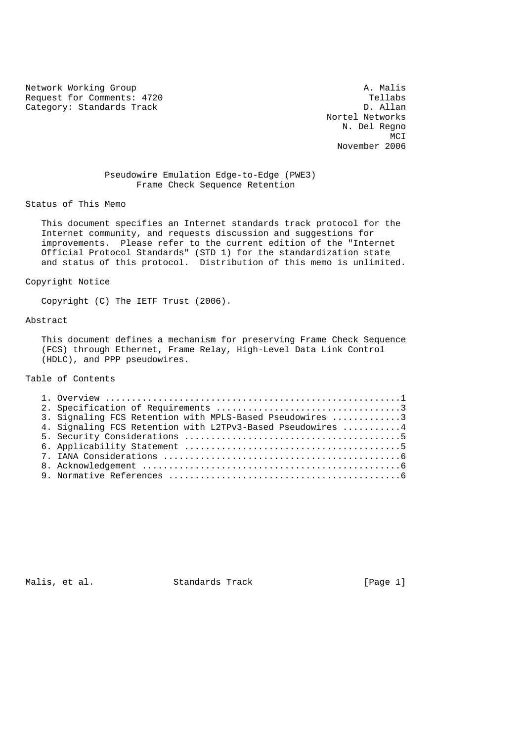Network Working Group<br>Request for Comments: 4720 Request for Comments: 4720<br>
Category: Standards Track<br>
D. Allan Category: Standards Track

 Nortel Networks N. Del Regno MCI **MCI** November 2006

## Pseudowire Emulation Edge-to-Edge (PWE3) Frame Check Sequence Retention

# Status of This Memo

 This document specifies an Internet standards track protocol for the Internet community, and requests discussion and suggestions for improvements. Please refer to the current edition of the "Internet Official Protocol Standards" (STD 1) for the standardization state and status of this protocol. Distribution of this memo is unlimited.

## Copyright Notice

Copyright (C) The IETF Trust (2006).

#### Abstract

 This document defines a mechanism for preserving Frame Check Sequence (FCS) through Ethernet, Frame Relay, High-Level Data Link Control (HDLC), and PPP pseudowires.

# Table of Contents

| 3. Signaling FCS Retention with MPLS-Based Pseudowires 3   |  |
|------------------------------------------------------------|--|
| 4. Signaling FCS Retention with L2TPv3-Based Pseudowires 4 |  |
|                                                            |  |
|                                                            |  |
|                                                            |  |
|                                                            |  |
|                                                            |  |

Malis, et al. Standards Track [Page 1]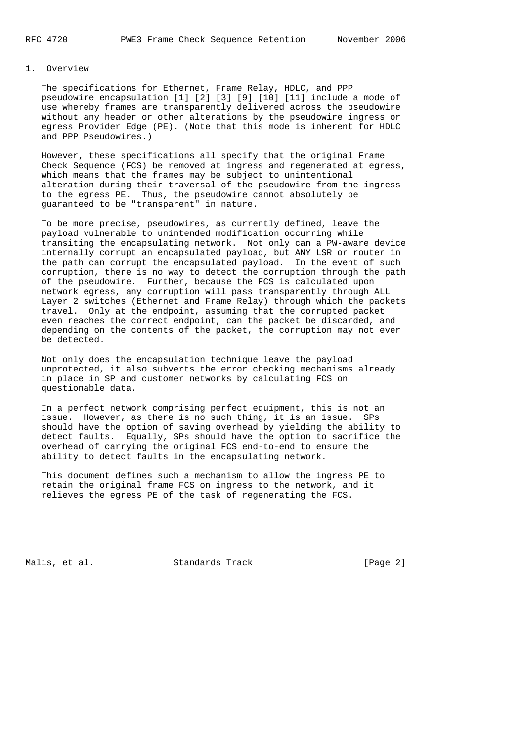# 1. Overview

 The specifications for Ethernet, Frame Relay, HDLC, and PPP pseudowire encapsulation [1] [2] [3] [9] [10] [11] include a mode of use whereby frames are transparently delivered across the pseudowire without any header or other alterations by the pseudowire ingress or egress Provider Edge (PE). (Note that this mode is inherent for HDLC and PPP Pseudowires.)

 However, these specifications all specify that the original Frame Check Sequence (FCS) be removed at ingress and regenerated at egress, which means that the frames may be subject to unintentional alteration during their traversal of the pseudowire from the ingress to the egress PE. Thus, the pseudowire cannot absolutely be guaranteed to be "transparent" in nature.

 To be more precise, pseudowires, as currently defined, leave the payload vulnerable to unintended modification occurring while transiting the encapsulating network. Not only can a PW-aware device internally corrupt an encapsulated payload, but ANY LSR or router in the path can corrupt the encapsulated payload. In the event of such corruption, there is no way to detect the corruption through the path of the pseudowire. Further, because the FCS is calculated upon network egress, any corruption will pass transparently through ALL Layer 2 switches (Ethernet and Frame Relay) through which the packets travel. Only at the endpoint, assuming that the corrupted packet even reaches the correct endpoint, can the packet be discarded, and depending on the contents of the packet, the corruption may not ever be detected.

 Not only does the encapsulation technique leave the payload unprotected, it also subverts the error checking mechanisms already in place in SP and customer networks by calculating FCS on questionable data.

 In a perfect network comprising perfect equipment, this is not an issue. However, as there is no such thing, it is an issue. SPs should have the option of saving overhead by yielding the ability to detect faults. Equally, SPs should have the option to sacrifice the overhead of carrying the original FCS end-to-end to ensure the ability to detect faults in the encapsulating network.

 This document defines such a mechanism to allow the ingress PE to retain the original frame FCS on ingress to the network, and it relieves the egress PE of the task of regenerating the FCS.

Malis, et al. Standards Track [Page 2]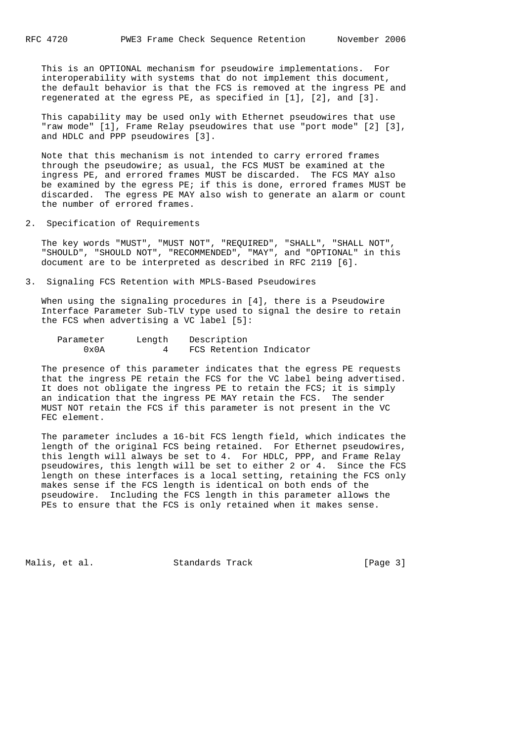This is an OPTIONAL mechanism for pseudowire implementations. For interoperability with systems that do not implement this document, the default behavior is that the FCS is removed at the ingress PE and regenerated at the egress PE, as specified in [1], [2], and [3].

 This capability may be used only with Ethernet pseudowires that use "raw mode" [1], Frame Relay pseudowires that use "port mode" [2] [3], and HDLC and PPP pseudowires [3].

 Note that this mechanism is not intended to carry errored frames through the pseudowire; as usual, the FCS MUST be examined at the ingress PE, and errored frames MUST be discarded. The FCS MAY also be examined by the egress PE; if this is done, errored frames MUST be discarded. The egress PE MAY also wish to generate an alarm or count the number of errored frames.

2. Specification of Requirements

 The key words "MUST", "MUST NOT", "REQUIRED", "SHALL", "SHALL NOT", "SHOULD", "SHOULD NOT", "RECOMMENDED", "MAY", and "OPTIONAL" in this document are to be interpreted as described in RFC 2119 [6].

3. Signaling FCS Retention with MPLS-Based Pseudowires

 When using the signaling procedures in [4], there is a Pseudowire Interface Parameter Sub-TLV type used to signal the desire to retain the FCS when advertising a VC label [5]:

| Parameter      | Length | Description             |  |
|----------------|--------|-------------------------|--|
| $0 \times 0 A$ |        | FCS Retention Indicator |  |

 The presence of this parameter indicates that the egress PE requests that the ingress PE retain the FCS for the VC label being advertised. It does not obligate the ingress PE to retain the FCS; it is simply an indication that the ingress PE MAY retain the FCS. The sender MUST NOT retain the FCS if this parameter is not present in the VC FEC element.

 The parameter includes a 16-bit FCS length field, which indicates the length of the original FCS being retained. For Ethernet pseudowires, this length will always be set to 4. For HDLC, PPP, and Frame Relay pseudowires, this length will be set to either 2 or 4. Since the FCS length on these interfaces is a local setting, retaining the FCS only makes sense if the FCS length is identical on both ends of the pseudowire. Including the FCS length in this parameter allows the PEs to ensure that the FCS is only retained when it makes sense.

Malis, et al. Standards Track [Page 3]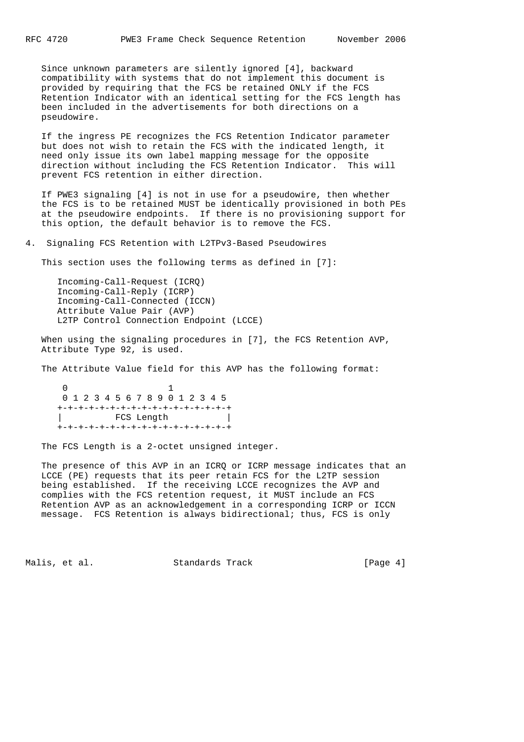Since unknown parameters are silently ignored [4], backward compatibility with systems that do not implement this document is provided by requiring that the FCS be retained ONLY if the FCS Retention Indicator with an identical setting for the FCS length has been included in the advertisements for both directions on a pseudowire.

 If the ingress PE recognizes the FCS Retention Indicator parameter but does not wish to retain the FCS with the indicated length, it need only issue its own label mapping message for the opposite direction without including the FCS Retention Indicator. This will prevent FCS retention in either direction.

 If PWE3 signaling [4] is not in use for a pseudowire, then whether the FCS is to be retained MUST be identically provisioned in both PEs at the pseudowire endpoints. If there is no provisioning support for this option, the default behavior is to remove the FCS.

4. Signaling FCS Retention with L2TPv3-Based Pseudowires

This section uses the following terms as defined in [7]:

 Incoming-Call-Request (ICRQ) Incoming-Call-Reply (ICRP) Incoming-Call-Connected (ICCN) Attribute Value Pair (AVP) L2TP Control Connection Endpoint (LCCE)

 When using the signaling procedures in [7], the FCS Retention AVP, Attribute Type 92, is used.

The Attribute Value field for this AVP has the following format:

 $\sim$  0  $\sim$  1 0 1 2 3 4 5 6 7 8 9 0 1 2 3 4 5 +-+-+-+-+-+-+-+-+-+-+-+-+-+-+-+-+ | FCS Length | +-+-+-+-+-+-+-+-+-+-+-+-+-+-+-+-+

The FCS Length is a 2-octet unsigned integer.

 The presence of this AVP in an ICRQ or ICRP message indicates that an LCCE (PE) requests that its peer retain FCS for the L2TP session being established. If the receiving LCCE recognizes the AVP and complies with the FCS retention request, it MUST include an FCS Retention AVP as an acknowledgement in a corresponding ICRP or ICCN message. FCS Retention is always bidirectional; thus, FCS is only

Malis, et al. Standards Track [Page 4]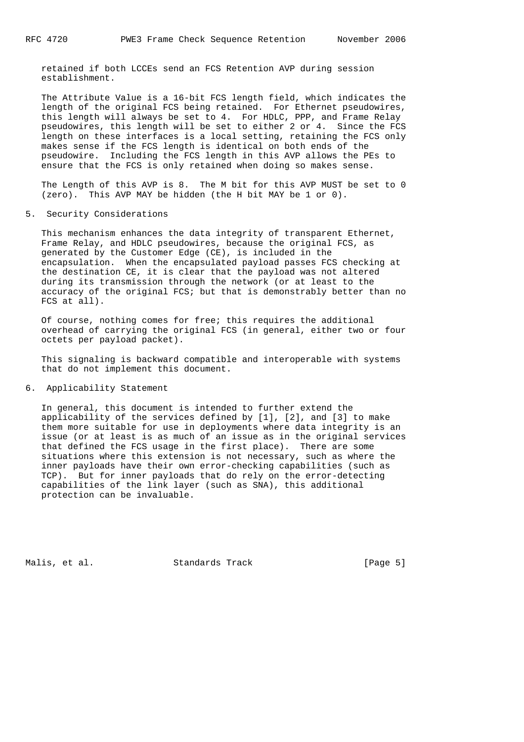retained if both LCCEs send an FCS Retention AVP during session establishment.

 The Attribute Value is a 16-bit FCS length field, which indicates the length of the original FCS being retained. For Ethernet pseudowires, this length will always be set to 4. For HDLC, PPP, and Frame Relay pseudowires, this length will be set to either 2 or 4. Since the FCS length on these interfaces is a local setting, retaining the FCS only makes sense if the FCS length is identical on both ends of the pseudowire. Including the FCS length in this AVP allows the PEs to ensure that the FCS is only retained when doing so makes sense.

 The Length of this AVP is 8. The M bit for this AVP MUST be set to 0 (zero). This AVP MAY be hidden (the H bit MAY be 1 or 0).

5. Security Considerations

 This mechanism enhances the data integrity of transparent Ethernet, Frame Relay, and HDLC pseudowires, because the original FCS, as generated by the Customer Edge (CE), is included in the encapsulation. When the encapsulated payload passes FCS checking at the destination CE, it is clear that the payload was not altered during its transmission through the network (or at least to the accuracy of the original FCS; but that is demonstrably better than no FCS at all).

 Of course, nothing comes for free; this requires the additional overhead of carrying the original FCS (in general, either two or four octets per payload packet).

 This signaling is backward compatible and interoperable with systems that do not implement this document.

6. Applicability Statement

 In general, this document is intended to further extend the applicability of the services defined by [1], [2], and [3] to make them more suitable for use in deployments where data integrity is an issue (or at least is as much of an issue as in the original services that defined the FCS usage in the first place). There are some situations where this extension is not necessary, such as where the inner payloads have their own error-checking capabilities (such as TCP). But for inner payloads that do rely on the error-detecting capabilities of the link layer (such as SNA), this additional protection can be invaluable.

Malis, et al. Standards Track [Page 5]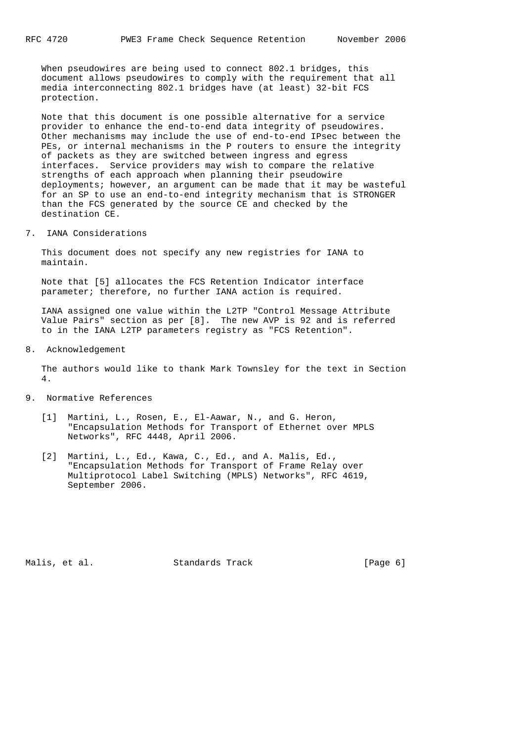When pseudowires are being used to connect 802.1 bridges, this document allows pseudowires to comply with the requirement that all media interconnecting 802.1 bridges have (at least) 32-bit FCS protection.

 Note that this document is one possible alternative for a service provider to enhance the end-to-end data integrity of pseudowires. Other mechanisms may include the use of end-to-end IPsec between the PEs, or internal mechanisms in the P routers to ensure the integrity of packets as they are switched between ingress and egress interfaces. Service providers may wish to compare the relative strengths of each approach when planning their pseudowire deployments; however, an argument can be made that it may be wasteful for an SP to use an end-to-end integrity mechanism that is STRONGER than the FCS generated by the source CE and checked by the destination CE.

7. IANA Considerations

 This document does not specify any new registries for IANA to maintain.

 Note that [5] allocates the FCS Retention Indicator interface parameter; therefore, no further IANA action is required.

 IANA assigned one value within the L2TP "Control Message Attribute Value Pairs" section as per [8]. The new AVP is 92 and is referred to in the IANA L2TP parameters registry as "FCS Retention".

8. Acknowledgement

 The authors would like to thank Mark Townsley for the text in Section 4.

- 9. Normative References
	- [1] Martini, L., Rosen, E., El-Aawar, N., and G. Heron, "Encapsulation Methods for Transport of Ethernet over MPLS Networks", RFC 4448, April 2006.
	- [2] Martini, L., Ed., Kawa, C., Ed., and A. Malis, Ed., "Encapsulation Methods for Transport of Frame Relay over Multiprotocol Label Switching (MPLS) Networks", RFC 4619, September 2006.

Malis, et al. Standards Track (Page 6)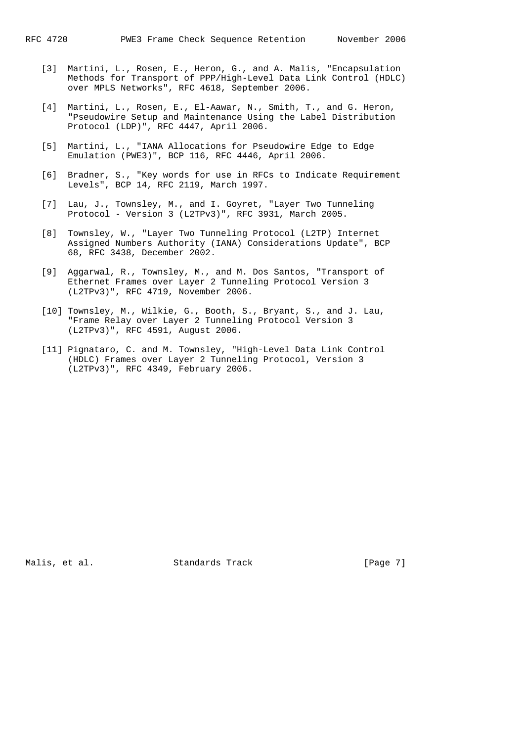- [3] Martini, L., Rosen, E., Heron, G., and A. Malis, "Encapsulation Methods for Transport of PPP/High-Level Data Link Control (HDLC) over MPLS Networks", RFC 4618, September 2006.
- [4] Martini, L., Rosen, E., El-Aawar, N., Smith, T., and G. Heron, "Pseudowire Setup and Maintenance Using the Label Distribution Protocol (LDP)", RFC 4447, April 2006.
- [5] Martini, L., "IANA Allocations for Pseudowire Edge to Edge Emulation (PWE3)", BCP 116, RFC 4446, April 2006.
- [6] Bradner, S., "Key words for use in RFCs to Indicate Requirement Levels", BCP 14, RFC 2119, March 1997.
- [7] Lau, J., Townsley, M., and I. Goyret, "Layer Two Tunneling Protocol - Version 3 (L2TPv3)", RFC 3931, March 2005.
- [8] Townsley, W., "Layer Two Tunneling Protocol (L2TP) Internet Assigned Numbers Authority (IANA) Considerations Update", BCP 68, RFC 3438, December 2002.
- [9] Aggarwal, R., Townsley, M., and M. Dos Santos, "Transport of Ethernet Frames over Layer 2 Tunneling Protocol Version 3 (L2TPv3)", RFC 4719, November 2006.
- [10] Townsley, M., Wilkie, G., Booth, S., Bryant, S., and J. Lau, "Frame Relay over Layer 2 Tunneling Protocol Version 3 (L2TPv3)", RFC 4591, August 2006.
- [11] Pignataro, C. and M. Townsley, "High-Level Data Link Control (HDLC) Frames over Layer 2 Tunneling Protocol, Version 3 (L2TPv3)", RFC 4349, February 2006.

Malis, et al. Standards Track [Page 7]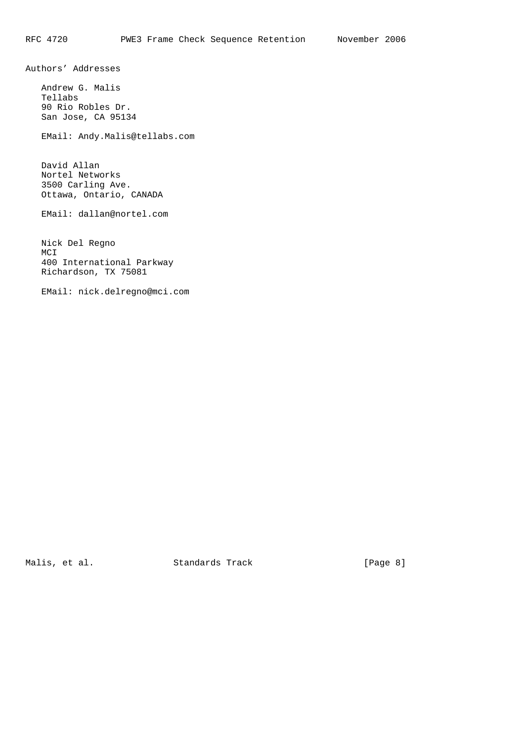Authors' Addresses

 Andrew G. Malis Tellabs 90 Rio Robles Dr. San Jose, CA 95134

EMail: Andy.Malis@tellabs.com

 David Allan Nortel Networks 3500 Carling Ave. Ottawa, Ontario, CANADA

EMail: dallan@nortel.com

 Nick Del Regno MCI 400 International Parkway Richardson, TX 75081

EMail: nick.delregno@mci.com

Malis, et al. Standards Track [Page 8]